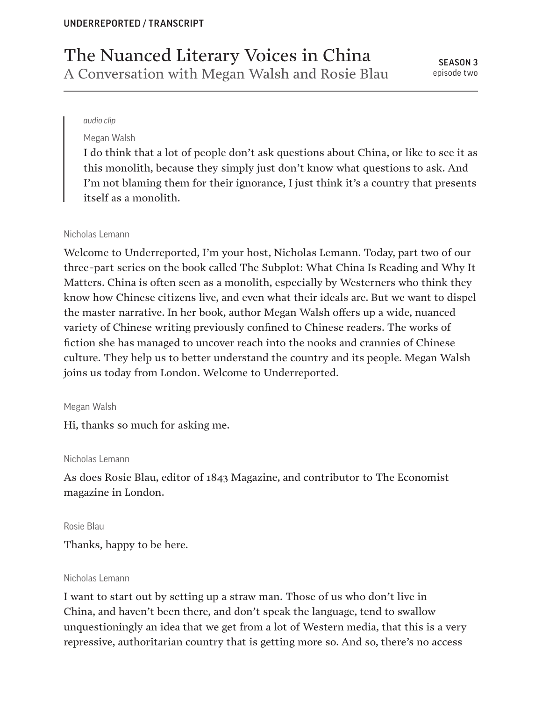#### *audio clip*

Megan Walsh

I do think that a lot of people don't ask questions about China, or like to see it as this monolith, because they simply just don't know what questions to ask. And I'm not blaming them for their ignorance, I just think it's a country that presents itself as a monolith.

## Nicholas Lemann

Welcome to Underreported, I'm your host, Nicholas Lemann. Today, part two of our three-part series on the book called The Subplot: What China Is Reading and Why It Matters. China is often seen as a monolith, especially by Westerners who think they know how Chinese citizens live, and even what their ideals are. But we want to dispel the master narrative. In her book, author Megan Walsh offers up a wide, nuanced variety of Chinese writing previously confined to Chinese readers. The works of fiction she has managed to uncover reach into the nooks and crannies of Chinese culture. They help us to better understand the country and its people. Megan Walsh joins us today from London. Welcome to Underreported.

### Megan Walsh

Hi, thanks so much for asking me.

### Nicholas Lemann

As does Rosie Blau, editor of 1843 Magazine, and contributor to The Economist magazine in London.

Rosie Blau

Thanks, happy to be here.

### Nicholas Lemann

I want to start out by setting up a straw man. Those of us who don't live in China, and haven't been there, and don't speak the language, tend to swallow unquestioningly an idea that we get from a lot of Western media, that this is a very repressive, authoritarian country that is getting more so. And so, there's no access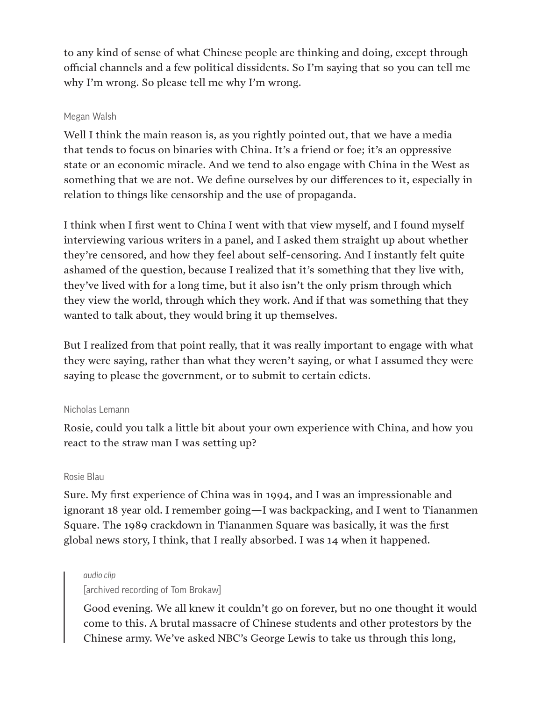to any kind of sense of what Chinese people are thinking and doing, except through official channels and a few political dissidents. So I'm saying that so you can tell me why I'm wrong. So please tell me why I'm wrong.

# Megan Walsh

Well I think the main reason is, as you rightly pointed out, that we have a media that tends to focus on binaries with China. It's a friend or foe; it's an oppressive state or an economic miracle. And we tend to also engage with China in the West as something that we are not. We define ourselves by our differences to it, especially in relation to things like censorship and the use of propaganda.

I think when I first went to China I went with that view myself, and I found myself interviewing various writers in a panel, and I asked them straight up about whether they're censored, and how they feel about self-censoring. And I instantly felt quite ashamed of the question, because I realized that it's something that they live with, they've lived with for a long time, but it also isn't the only prism through which they view the world, through which they work. And if that was something that they wanted to talk about, they would bring it up themselves.

But I realized from that point really, that it was really important to engage with what they were saying, rather than what they weren't saying, or what I assumed they were saying to please the government, or to submit to certain edicts.

# Nicholas Lemann

Rosie, could you talk a little bit about your own experience with China, and how you react to the straw man I was setting up?

# Rosie Blau

Sure. My first experience of China was in 1994, and I was an impressionable and ignorant 18 year old. I remember going—I was backpacking, and I went to Tiananmen Square. The 1989 crackdown in Tiananmen Square was basically, it was the first global news story, I think, that I really absorbed. I was 14 when it happened.

### *audio clip*

[archived recording of Tom Brokaw]

Good evening. We all knew it couldn't go on forever, but no one thought it would come to this. A brutal massacre of Chinese students and other protestors by the Chinese army. We've asked NBC's George Lewis to take us through this long,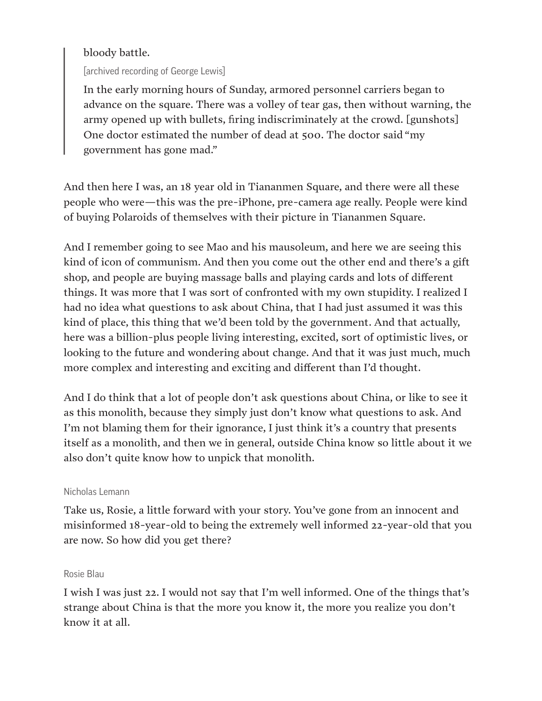# bloody battle.

[archived recording of George Lewis]

In the early morning hours of Sunday, armored personnel carriers began to advance on the square. There was a volley of tear gas, then without warning, the army opened up with bullets, firing indiscriminately at the crowd. [gunshots] One doctor estimated the number of dead at 500. The doctor said "my government has gone mad."

And then here I was, an 18 year old in Tiananmen Square, and there were all these people who were—this was the pre-iPhone, pre-camera age really. People were kind of buying Polaroids of themselves with their picture in Tiananmen Square.

And I remember going to see Mao and his mausoleum, and here we are seeing this kind of icon of communism. And then you come out the other end and there's a gift shop, and people are buying massage balls and playing cards and lots of different things. It was more that I was sort of confronted with my own stupidity. I realized I had no idea what questions to ask about China, that I had just assumed it was this kind of place, this thing that we'd been told by the government. And that actually, here was a billion-plus people living interesting, excited, sort of optimistic lives, or looking to the future and wondering about change. And that it was just much, much more complex and interesting and exciting and different than I'd thought.

And I do think that a lot of people don't ask questions about China, or like to see it as this monolith, because they simply just don't know what questions to ask. And I'm not blaming them for their ignorance, I just think it's a country that presents itself as a monolith, and then we in general, outside China know so little about it we also don't quite know how to unpick that monolith.

# Nicholas Lemann

Take us, Rosie, a little forward with your story. You've gone from an innocent and misinformed 18-year-old to being the extremely well informed 22-year-old that you are now. So how did you get there?

### Rosie Blau

I wish I was just 22. I would not say that I'm well informed. One of the things that's strange about China is that the more you know it, the more you realize you don't know it at all.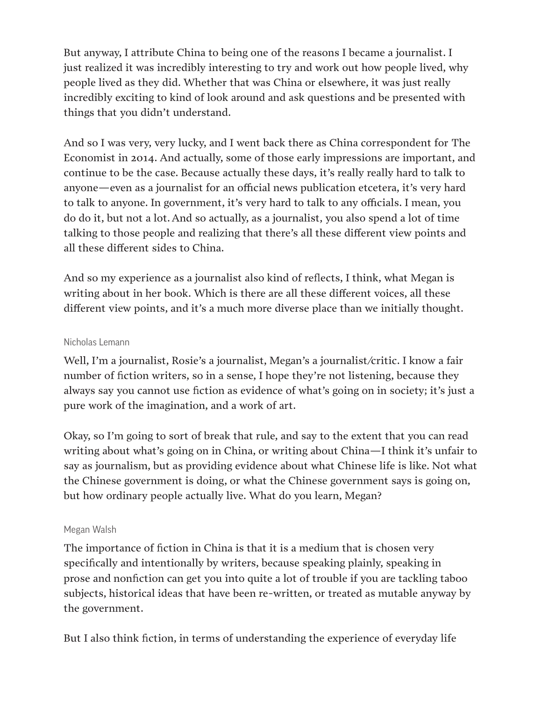But anyway, I attribute China to being one of the reasons I became a journalist. I just realized it was incredibly interesting to try and work out how people lived, why people lived as they did. Whether that was China or elsewhere, it was just really incredibly exciting to kind of look around and ask questions and be presented with things that you didn't understand.

And so I was very, very lucky, and I went back there as China correspondent for The Economist in 2014. And actually, some of those early impressions are important, and continue to be the case. Because actually these days, it's really really hard to talk to anyone—even as a journalist for an official news publication etcetera, it's very hard to talk to anyone. In government, it's very hard to talk to any officials. I mean, you do do it, but not a lot. And so actually, as a journalist, you also spend a lot of time talking to those people and realizing that there's all these different view points and all these different sides to China.

And so my experience as a journalist also kind of reflects, I think, what Megan is writing about in her book. Which is there are all these different voices, all these different view points, and it's a much more diverse place than we initially thought.

# Nicholas Lemann

Well, I'm a journalist, Rosie's a journalist, Megan's a journalist/critic. I know a fair number of fiction writers, so in a sense, I hope they're not listening, because they always say you cannot use fiction as evidence of what's going on in society; it's just a pure work of the imagination, and a work of art.

Okay, so I'm going to sort of break that rule, and say to the extent that you can read writing about what's going on in China, or writing about China—I think it's unfair to say as journalism, but as providing evidence about what Chinese life is like. Not what the Chinese government is doing, or what the Chinese government says is going on, but how ordinary people actually live. What do you learn, Megan?

### Megan Walsh

The importance of fiction in China is that it is a medium that is chosen very specifically and intentionally by writers, because speaking plainly, speaking in prose and nonfiction can get you into quite a lot of trouble if you are tackling taboo subjects, historical ideas that have been re-written, or treated as mutable anyway by the government.

But I also think fiction, in terms of understanding the experience of everyday life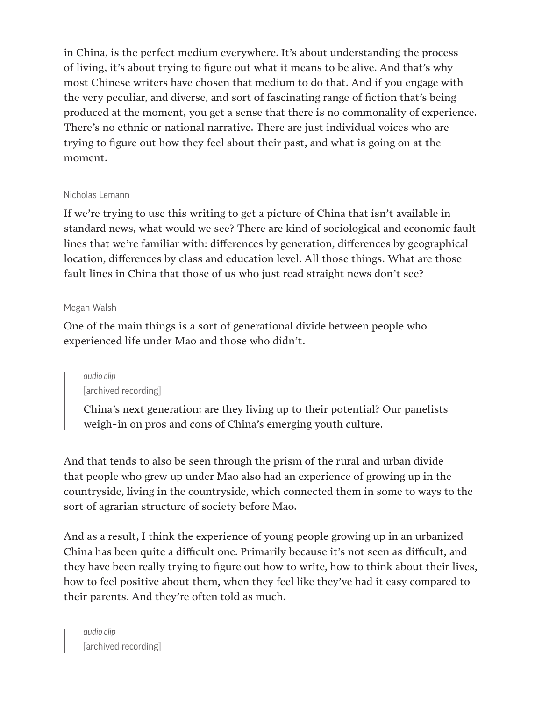in China, is the perfect medium everywhere. It's about understanding the process of living, it's about trying to figure out what it means to be alive. And that's why most Chinese writers have chosen that medium to do that. And if you engage with the very peculiar, and diverse, and sort of fascinating range of fiction that's being produced at the moment, you get a sense that there is no commonality of experience. There's no ethnic or national narrative. There are just individual voices who are trying to figure out how they feel about their past, and what is going on at the moment.

## Nicholas Lemann

If we're trying to use this writing to get a picture of China that isn't available in standard news, what would we see? There are kind of sociological and economic fault lines that we're familiar with: differences by generation, differences by geographical location, differences by class and education level. All those things. What are those fault lines in China that those of us who just read straight news don't see?

## Megan Walsh

One of the main things is a sort of generational divide between people who experienced life under Mao and those who didn't.

## *audio clip* [archived recording]

China's next generation: are they living up to their potential? Our panelists weigh-in on pros and cons of China's emerging youth culture.

And that tends to also be seen through the prism of the rural and urban divide that people who grew up under Mao also had an experience of growing up in the countryside, living in the countryside, which connected them in some to ways to the sort of agrarian structure of society before Mao.

And as a result, I think the experience of young people growing up in an urbanized China has been quite a difficult one. Primarily because it's not seen as difficult, and they have been really trying to figure out how to write, how to think about their lives, how to feel positive about them, when they feel like they've had it easy compared to their parents. And they're often told as much.

*audio clip* [archived recording]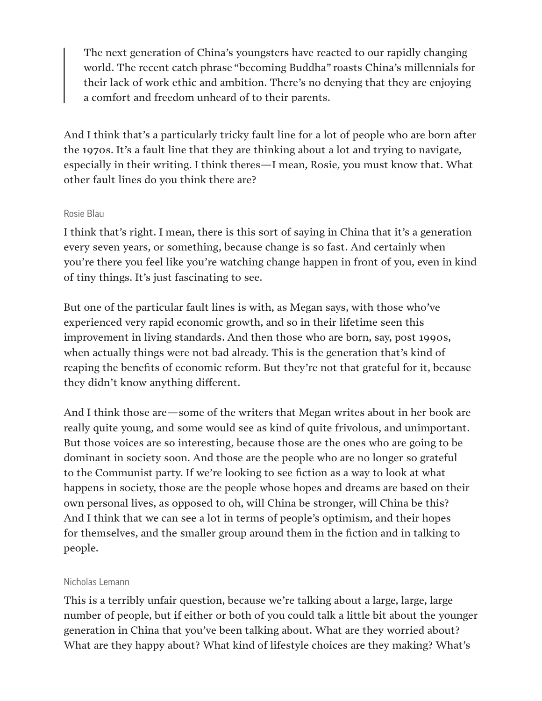The next generation of China's youngsters have reacted to our rapidly changing world. The recent catch phrase "becoming Buddha" roasts China's millennials for their lack of work ethic and ambition. There's no denying that they are enjoying a comfort and freedom unheard of to their parents.

And I think that's a particularly tricky fault line for a lot of people who are born after the 1970s. It's a fault line that they are thinking about a lot and trying to navigate, especially in their writing. I think theres—I mean, Rosie, you must know that. What other fault lines do you think there are?

# Rosie Blau

I think that's right. I mean, there is this sort of saying in China that it's a generation every seven years, or something, because change is so fast. And certainly when you're there you feel like you're watching change happen in front of you, even in kind of tiny things. It's just fascinating to see.

But one of the particular fault lines is with, as Megan says, with those who've experienced very rapid economic growth, and so in their lifetime seen this improvement in living standards. And then those who are born, say, post 1990s, when actually things were not bad already. This is the generation that's kind of reaping the benefits of economic reform. But they're not that grateful for it, because they didn't know anything different.

And I think those are—some of the writers that Megan writes about in her book are really quite young, and some would see as kind of quite frivolous, and unimportant. But those voices are so interesting, because those are the ones who are going to be dominant in society soon. And those are the people who are no longer so grateful to the Communist party. If we're looking to see fiction as a way to look at what happens in society, those are the people whose hopes and dreams are based on their own personal lives, as opposed to oh, will China be stronger, will China be this? And I think that we can see a lot in terms of people's optimism, and their hopes for themselves, and the smaller group around them in the fiction and in talking to people.

### Nicholas Lemann

This is a terribly unfair question, because we're talking about a large, large, large number of people, but if either or both of you could talk a little bit about the younger generation in China that you've been talking about. What are they worried about? What are they happy about? What kind of lifestyle choices are they making? What's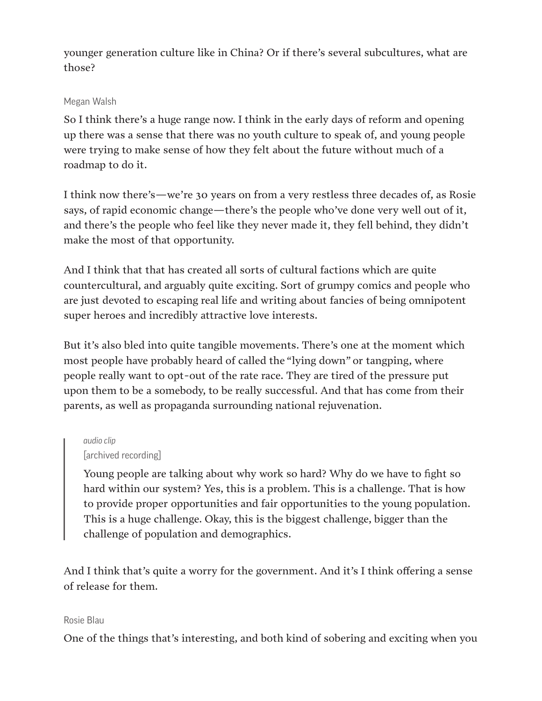younger generation culture like in China? Or if there's several subcultures, what are those?

# Megan Walsh

So I think there's a huge range now. I think in the early days of reform and opening up there was a sense that there was no youth culture to speak of, and young people were trying to make sense of how they felt about the future without much of a roadmap to do it.

I think now there's—we're 30 years on from a very restless three decades of, as Rosie says, of rapid economic change—there's the people who've done very well out of it, and there's the people who feel like they never made it, they fell behind, they didn't make the most of that opportunity.

And I think that that has created all sorts of cultural factions which are quite countercultural, and arguably quite exciting. Sort of grumpy comics and people who are just devoted to escaping real life and writing about fancies of being omnipotent super heroes and incredibly attractive love interests.

But it's also bled into quite tangible movements. There's one at the moment which most people have probably heard of called the "lying down" or tangping, where people really want to opt-out of the rate race. They are tired of the pressure put upon them to be a somebody, to be really successful. And that has come from their parents, as well as propaganda surrounding national rejuvenation.

# *audio clip* [archived recording]

Young people are talking about why work so hard? Why do we have to fight so hard within our system? Yes, this is a problem. This is a challenge. That is how to provide proper opportunities and fair opportunities to the young population. This is a huge challenge. Okay, this is the biggest challenge, bigger than the challenge of population and demographics.

And I think that's quite a worry for the government. And it's I think offering a sense of release for them.

### Rosie Blau

One of the things that's interesting, and both kind of sobering and exciting when you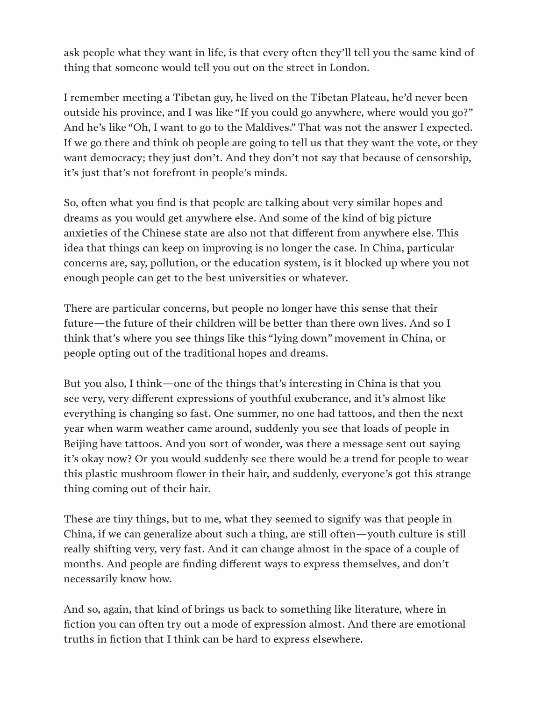ask people what they want in life, is that every often they'll tell you the same kind of thing that someone would tell you out on the street in London.

I remember meeting a Tibetan guy, he lived on the Tibetan Plateau, he'd never been outside his province, and I was like "If you could go anywhere, where would you go?" And he's like "Oh, I want to go to the Maldives." That was not the answer I expected. If we go there and think oh people are going to tell us that they want the vote, or they want democracy; they just don't. And they don't not say that because of censorship, it's just that's not forefront in people's minds.

So, often what you find is that people are talking about very similar hopes and dreams as you would get anywhere else. And some of the kind of big picture anxieties of the Chinese state are also not that different from anywhere else. This idea that things can keep on improving is no longer the case. In China, particular concerns are, say, pollution, or the education system, is it blocked up where you not enough people can get to the best universities or whatever.

There are particular concerns, but people no longer have this sense that their future—the future of their children will be better than there own lives. And so I think that's where you see things like this "lying down" movement in China, or people opting out of the traditional hopes and dreams.

But you also, I think—one of the things that's interesting in China is that you see very, very different expressions of youthful exuberance, and it's almost like everything is changing so fast. One summer, no one had tattoos, and then the next year when warm weather came around, suddenly you see that loads of people in Beijing have tattoos. And you sort of wonder, was there a message sent out saying it's okay now? Or you would suddenly see there would be a trend for people to wear this plastic mushroom flower in their hair, and suddenly, everyone's got this strange thing coming out of their hair.

These are tiny things, but to me, what they seemed to signify was that people in China, if we can generalize about such a thing, are still often—youth culture is still really shifting very, very fast. And it can change almost in the space of a couple of months. And people are finding different ways to express themselves, and don't necessarily know how.

And so, again, that kind of brings us back to something like literature, where in fiction you can often try out a mode of expression almost. And there are emotional truths in fiction that I think can be hard to express elsewhere.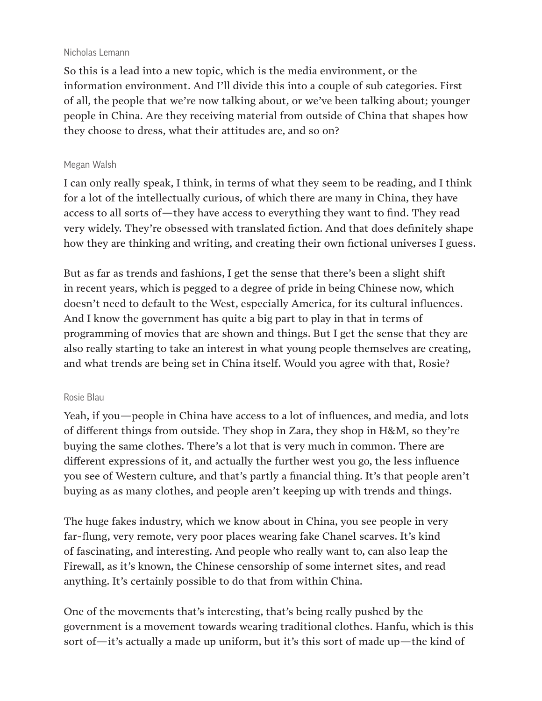### Nicholas Lemann

So this is a lead into a new topic, which is the media environment, or the information environment. And I'll divide this into a couple of sub categories. First of all, the people that we're now talking about, or we've been talking about; younger people in China. Are they receiving material from outside of China that shapes how they choose to dress, what their attitudes are, and so on?

## Megan Walsh

I can only really speak, I think, in terms of what they seem to be reading, and I think for a lot of the intellectually curious, of which there are many in China, they have access to all sorts of—they have access to everything they want to find. They read very widely. They're obsessed with translated fiction. And that does definitely shape how they are thinking and writing, and creating their own fictional universes I guess.

But as far as trends and fashions, I get the sense that there's been a slight shift in recent years, which is pegged to a degree of pride in being Chinese now, which doesn't need to default to the West, especially America, for its cultural influences. And I know the government has quite a big part to play in that in terms of programming of movies that are shown and things. But I get the sense that they are also really starting to take an interest in what young people themselves are creating, and what trends are being set in China itself. Would you agree with that, Rosie?

# Rosie Blau

Yeah, if you—people in China have access to a lot of influences, and media, and lots of different things from outside. They shop in Zara, they shop in H&M, so they're buying the same clothes. There's a lot that is very much in common. There are different expressions of it, and actually the further west you go, the less influence you see of Western culture, and that's partly a financial thing. It's that people aren't buying as as many clothes, and people aren't keeping up with trends and things.

The huge fakes industry, which we know about in China, you see people in very far-flung, very remote, very poor places wearing fake Chanel scarves. It's kind of fascinating, and interesting. And people who really want to, can also leap the Firewall, as it's known, the Chinese censorship of some internet sites, and read anything. It's certainly possible to do that from within China.

One of the movements that's interesting, that's being really pushed by the government is a movement towards wearing traditional clothes. Hanfu, which is this sort of—it's actually a made up uniform, but it's this sort of made up—the kind of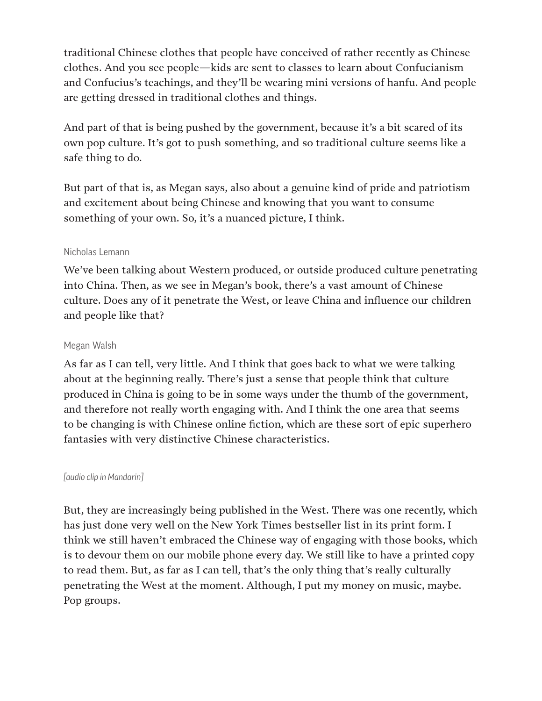traditional Chinese clothes that people have conceived of rather recently as Chinese clothes. And you see people—kids are sent to classes to learn about Confucianism and Confucius's teachings, and they'll be wearing mini versions of hanfu. And people are getting dressed in traditional clothes and things.

And part of that is being pushed by the government, because it's a bit scared of its own pop culture. It's got to push something, and so traditional culture seems like a safe thing to do.

But part of that is, as Megan says, also about a genuine kind of pride and patriotism and excitement about being Chinese and knowing that you want to consume something of your own. So, it's a nuanced picture, I think.

### Nicholas Lemann

We've been talking about Western produced, or outside produced culture penetrating into China. Then, as we see in Megan's book, there's a vast amount of Chinese culture. Does any of it penetrate the West, or leave China and influence our children and people like that?

## Megan Walsh

As far as I can tell, very little. And I think that goes back to what we were talking about at the beginning really. There's just a sense that people think that culture produced in China is going to be in some ways under the thumb of the government, and therefore not really worth engaging with. And I think the one area that seems to be changing is with Chinese online fiction, which are these sort of epic superhero fantasies with very distinctive Chinese characteristics.

### *[audio clip in Mandarin]*

But, they are increasingly being published in the West. There was one recently, which has just done very well on the New York Times bestseller list in its print form. I think we still haven't embraced the Chinese way of engaging with those books, which is to devour them on our mobile phone every day. We still like to have a printed copy to read them. But, as far as I can tell, that's the only thing that's really culturally penetrating the West at the moment. Although, I put my money on music, maybe. Pop groups.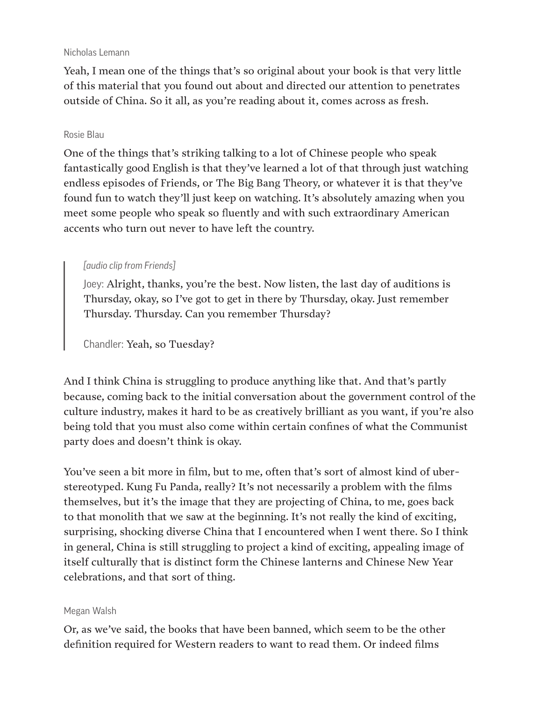### Nicholas Lemann

Yeah, I mean one of the things that's so original about your book is that very little of this material that you found out about and directed our attention to penetrates outside of China. So it all, as you're reading about it, comes across as fresh.

### Rosie Blau

One of the things that's striking talking to a lot of Chinese people who speak fantastically good English is that they've learned a lot of that through just watching endless episodes of Friends, or The Big Bang Theory, or whatever it is that they've found fun to watch they'll just keep on watching. It's absolutely amazing when you meet some people who speak so fluently and with such extraordinary American accents who turn out never to have left the country.

# *[audio clip from Friends]*

Joey: Alright, thanks, you're the best. Now listen, the last day of auditions is Thursday, okay, so I've got to get in there by Thursday, okay. Just remember Thursday. Thursday. Can you remember Thursday?

Chandler: Yeah, so Tuesday?

And I think China is struggling to produce anything like that. And that's partly because, coming back to the initial conversation about the government control of the culture industry, makes it hard to be as creatively brilliant as you want, if you're also being told that you must also come within certain confines of what the Communist party does and doesn't think is okay.

You've seen a bit more in film, but to me, often that's sort of almost kind of uberstereotyped. Kung Fu Panda, really? It's not necessarily a problem with the films themselves, but it's the image that they are projecting of China, to me, goes back to that monolith that we saw at the beginning. It's not really the kind of exciting, surprising, shocking diverse China that I encountered when I went there. So I think in general, China is still struggling to project a kind of exciting, appealing image of itself culturally that is distinct form the Chinese lanterns and Chinese New Year celebrations, and that sort of thing.

# Megan Walsh

Or, as we've said, the books that have been banned, which seem to be the other definition required for Western readers to want to read them. Or indeed films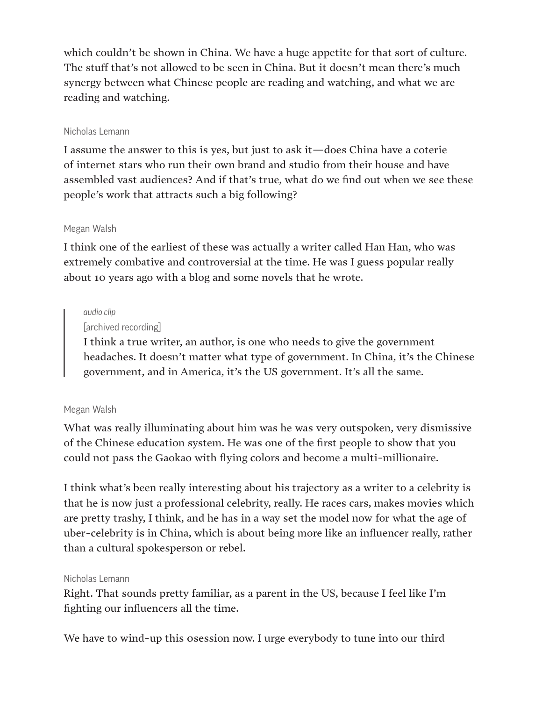which couldn't be shown in China. We have a huge appetite for that sort of culture. The stuff that's not allowed to be seen in China. But it doesn't mean there's much synergy between what Chinese people are reading and watching, and what we are reading and watching.

# Nicholas Lemann

I assume the answer to this is yes, but just to ask it—does China have a coterie of internet stars who run their own brand and studio from their house and have assembled vast audiences? And if that's true, what do we find out when we see these people's work that attracts such a big following?

## Megan Walsh

I think one of the earliest of these was actually a writer called Han Han, who was extremely combative and controversial at the time. He was I guess popular really about 10 years ago with a blog and some novels that he wrote.

#### *audio clip*

## [archived recording]

I think a true writer, an author, is one who needs to give the government headaches. It doesn't matter what type of government. In China, it's the Chinese government, and in America, it's the US government. It's all the same.

### Megan Walsh

What was really illuminating about him was he was very outspoken, very dismissive of the Chinese education system. He was one of the first people to show that you could not pass the Gaokao with flying colors and become a multi-millionaire.

I think what's been really interesting about his trajectory as a writer to a celebrity is that he is now just a professional celebrity, really. He races cars, makes movies which are pretty trashy, I think, and he has in a way set the model now for what the age of uber-celebrity is in China, which is about being more like an influencer really, rather than a cultural spokesperson or rebel.

### Nicholas Lemann

Right. That sounds pretty familiar, as a parent in the US, because I feel like I'm fighting our influencers all the time.

We have to wind-up this osession now. I urge everybody to tune into our third